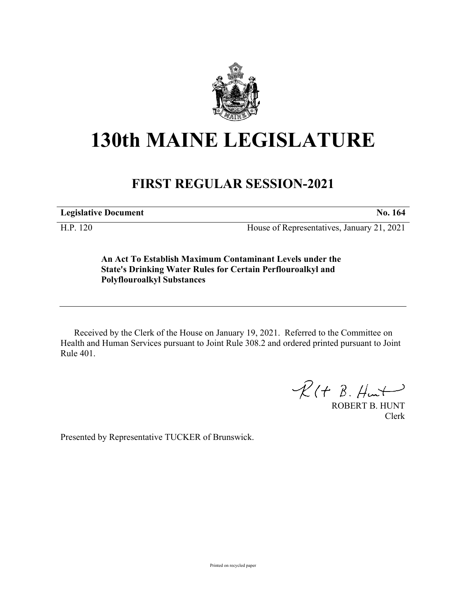

## **130th MAINE LEGISLATURE**

## **FIRST REGULAR SESSION-2021**

**Legislative Document No. 164**

H.P. 120 House of Representatives, January 21, 2021

**An Act To Establish Maximum Contaminant Levels under the State's Drinking Water Rules for Certain Perflouroalkyl and Polyflouroalkyl Substances**

Received by the Clerk of the House on January 19, 2021. Referred to the Committee on Health and Human Services pursuant to Joint Rule 308.2 and ordered printed pursuant to Joint Rule 401.

 $R(H B. H<sub>un</sub>)$ 

ROBERT B. HUNT Clerk

Presented by Representative TUCKER of Brunswick.